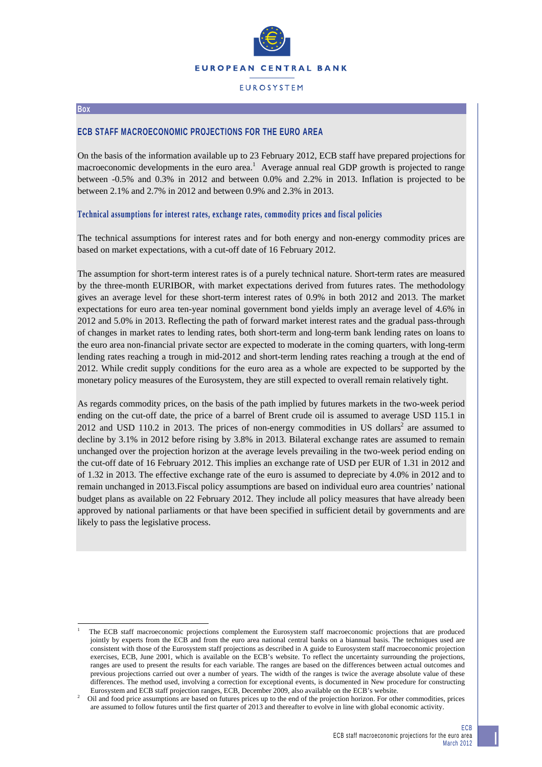

## **FUROSYSTEM**

#### **Box**

l

## **ECB STAFF MACROECONOMIC PROJECTIONS FOR THE EURO AREA**

On the basis of the information available up to 23 February 2012, ECB staff have prepared projections for macroeconomic developments in the euro area.<sup>1</sup> Average annual real GDP growth is projected to range between -0.5% and 0.3% in 2012 and between 0.0% and 2.2% in 2013. Inflation is projected to be between 2.1% and 2.7% in 2012 and between 0.9% and 2.3% in 2013.

### **Technical assumptions for interest rates, exchange rates, commodity prices and fiscal policies**

The technical assumptions for interest rates and for both energy and non-energy commodity prices are based on market expectations, with a cut-off date of 16 February 2012.

The assumption for short-term interest rates is of a purely technical nature. Short-term rates are measured by the three-month EURIBOR, with market expectations derived from futures rates. The methodology gives an average level for these short-term interest rates of 0.9% in both 2012 and 2013. The market expectations for euro area ten-year nominal government bond yields imply an average level of 4.6% in 2012 and 5.0% in 2013. Reflecting the path of forward market interest rates and the gradual pass-through of changes in market rates to lending rates, both short-term and long-term bank lending rates on loans to the euro area non-financial private sector are expected to moderate in the coming quarters, with long-term lending rates reaching a trough in mid-2012 and short-term lending rates reaching a trough at the end of 2012. While credit supply conditions for the euro area as a whole are expected to be supported by the monetary policy measures of the Eurosystem, they are still expected to overall remain relatively tight.

As regards commodity prices, on the basis of the path implied by futures markets in the two-week period ending on the cut-off date, the price of a barrel of Brent crude oil is assumed to average USD 115.1 in 2012 and USD 110.2 in 2013. The prices of non-energy commodities in US dollars<sup>2</sup> are assumed to decline by 3.1% in 2012 before rising by 3.8% in 2013. Bilateral exchange rates are assumed to remain unchanged over the projection horizon at the average levels prevailing in the two-week period ending on the cut-off date of 16 February 2012. This implies an exchange rate of USD per EUR of 1.31 in 2012 and of 1.32 in 2013. The effective exchange rate of the euro is assumed to depreciate by 4.0% in 2012 and to remain unchanged in 2013.Fiscal policy assumptions are based on individual euro area countries' national budget plans as available on 22 February 2012. They include all policy measures that have already been approved by national parliaments or that have been specified in sufficient detail by governments and are likely to pass the legislative process.

<sup>1</sup> The ECB staff macroeconomic projections complement the Eurosystem staff macroeconomic projections that are produced jointly by experts from the ECB and from the euro area national central banks on a biannual basis. The techniques used are consistent with those of the Eurosystem staff projections as described in A guide to Eurosystem staff macroeconomic projection exercises, ECB, June 2001, which is available on the ECB's website. To reflect the uncertainty surrounding the projections, ranges are used to present the results for each variable. The ranges are based on the differences between actual outcomes and previous projections carried out over a number of years. The width of the ranges is twice the average absolute value of these differences. The method used, involving a correction for exceptional events, is documented in New procedure for constructing Eurosystem and ECB staff projection ranges, ECB, December 2009, also available on the ECB's website.

Oil and food price assumptions are based on futures prices up to the end of the projection horizon. For other commodities, prices are assumed to follow futures until the first quarter of 2013 and thereafter to evolve in line with global economic activity.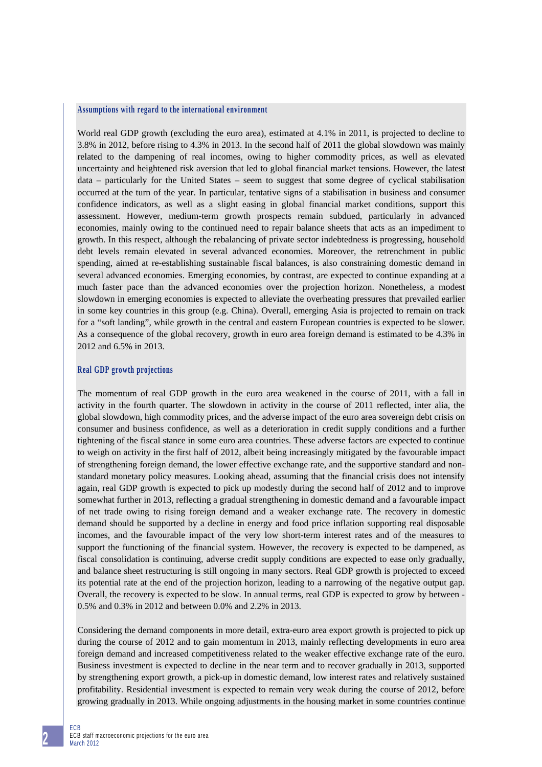### **Assumptions with regard to the international environment**

World real GDP growth (excluding the euro area), estimated at 4.1% in 2011, is projected to decline to 3.8% in 2012, before rising to 4.3% in 2013. In the second half of 2011 the global slowdown was mainly related to the dampening of real incomes, owing to higher commodity prices, as well as elevated uncertainty and heightened risk aversion that led to global financial market tensions. However, the latest data – particularly for the United States – seem to suggest that some degree of cyclical stabilisation occurred at the turn of the year. In particular, tentative signs of a stabilisation in business and consumer confidence indicators, as well as a slight easing in global financial market conditions, support this assessment. However, medium-term growth prospects remain subdued, particularly in advanced economies, mainly owing to the continued need to repair balance sheets that acts as an impediment to growth. In this respect, although the rebalancing of private sector indebtedness is progressing, household debt levels remain elevated in several advanced economies. Moreover, the retrenchment in public spending, aimed at re-establishing sustainable fiscal balances, is also constraining domestic demand in several advanced economies. Emerging economies, by contrast, are expected to continue expanding at a much faster pace than the advanced economies over the projection horizon. Nonetheless, a modest slowdown in emerging economies is expected to alleviate the overheating pressures that prevailed earlier in some key countries in this group (e.g. China). Overall, emerging Asia is projected to remain on track for a "soft landing", while growth in the central and eastern European countries is expected to be slower. As a consequence of the global recovery, growth in euro area foreign demand is estimated to be 4.3% in 2012 and 6.5% in 2013.

### **Real GDP growth projections**

The momentum of real GDP growth in the euro area weakened in the course of 2011, with a fall in activity in the fourth quarter. The slowdown in activity in the course of 2011 reflected, inter alia, the global slowdown, high commodity prices, and the adverse impact of the euro area sovereign debt crisis on consumer and business confidence, as well as a deterioration in credit supply conditions and a further tightening of the fiscal stance in some euro area countries. These adverse factors are expected to continue to weigh on activity in the first half of 2012, albeit being increasingly mitigated by the favourable impact of strengthening foreign demand, the lower effective exchange rate, and the supportive standard and nonstandard monetary policy measures. Looking ahead, assuming that the financial crisis does not intensify again, real GDP growth is expected to pick up modestly during the second half of 2012 and to improve somewhat further in 2013, reflecting a gradual strengthening in domestic demand and a favourable impact of net trade owing to rising foreign demand and a weaker exchange rate. The recovery in domestic demand should be supported by a decline in energy and food price inflation supporting real disposable incomes, and the favourable impact of the very low short-term interest rates and of the measures to support the functioning of the financial system. However, the recovery is expected to be dampened, as fiscal consolidation is continuing, adverse credit supply conditions are expected to ease only gradually, and balance sheet restructuring is still ongoing in many sectors. Real GDP growth is projected to exceed its potential rate at the end of the projection horizon, leading to a narrowing of the negative output gap. Overall, the recovery is expected to be slow. In annual terms, real GDP is expected to grow by between - 0.5% and 0.3% in 2012 and between 0.0% and 2.2% in 2013.

Considering the demand components in more detail, extra-euro area export growth is projected to pick up during the course of 2012 and to gain momentum in 2013, mainly reflecting developments in euro area foreign demand and increased competitiveness related to the weaker effective exchange rate of the euro. Business investment is expected to decline in the near term and to recover gradually in 2013, supported by strengthening export growth, a pick-up in domestic demand, low interest rates and relatively sustained profitability. Residential investment is expected to remain very weak during the course of 2012, before growing gradually in 2013. While ongoing adjustments in the housing market in some countries continue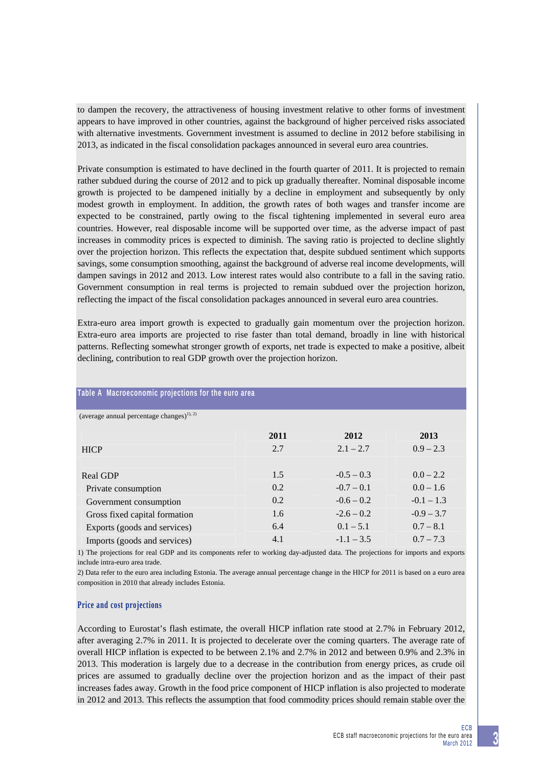to dampen the recovery, the attractiveness of housing investment relative to other forms of investment appears to have improved in other countries, against the background of higher perceived risks associated with alternative investments. Government investment is assumed to decline in 2012 before stabilising in 2013, as indicated in the fiscal consolidation packages announced in several euro area countries.

Private consumption is estimated to have declined in the fourth quarter of 2011. It is projected to remain rather subdued during the course of 2012 and to pick up gradually thereafter. Nominal disposable income growth is projected to be dampened initially by a decline in employment and subsequently by only modest growth in employment. In addition, the growth rates of both wages and transfer income are expected to be constrained, partly owing to the fiscal tightening implemented in several euro area countries. However, real disposable income will be supported over time, as the adverse impact of past increases in commodity prices is expected to diminish. The saving ratio is projected to decline slightly over the projection horizon. This reflects the expectation that, despite subdued sentiment which supports savings, some consumption smoothing, against the background of adverse real income developments, will dampen savings in 2012 and 2013. Low interest rates would also contribute to a fall in the saving ratio. Government consumption in real terms is projected to remain subdued over the projection horizon, reflecting the impact of the fiscal consolidation packages announced in several euro area countries.

Extra-euro area import growth is expected to gradually gain momentum over the projection horizon. Extra-euro area imports are projected to rise faster than total demand, broadly in line with historical patterns. Reflecting somewhat stronger growth of exports, net trade is expected to make a positive, albeit declining, contribution to real GDP growth over the projection horizon.

| (average annual percentage changes) <sup>1), 2)</sup> |      |              |              |
|-------------------------------------------------------|------|--------------|--------------|
|                                                       |      |              |              |
|                                                       | 2011 | 2012         | 2013         |
| <b>HICP</b>                                           | 2.7  | $2.1 - 2.7$  | $0.9 - 2.3$  |
|                                                       |      |              |              |
| Real GDP                                              | 1.5  | $-0.5 - 0.3$ | $0.0 - 2.2$  |
| Private consumption                                   | 0.2  | $-0.7 - 0.1$ | $0.0 - 1.6$  |
| Government consumption                                | 0.2  | $-0.6 - 0.2$ | $-0.1 - 1.3$ |
| Gross fixed capital formation                         | 1.6  | $-2.6 - 0.2$ | $-0.9 - 3.7$ |
| Exports (goods and services)                          | 6.4  | $0.1 - 5.1$  | $0.7 - 8.1$  |
| Imports (goods and services)                          | 4.1  | $-1.1 - 3.5$ | $0.7 - 7.3$  |

# **Table A Macroeconomic projections for the euro area**

1) The projections for real GDP and its components refer to working day-adjusted data. The projections for imports and exports include intra-euro area trade.

2) Data refer to the euro area including Estonia. The average annual percentage change in the HICP for 2011 is based on a euro area composition in 2010 that already includes Estonia.

## **Price and cost projections**

According to Eurostat's flash estimate, the overall HICP inflation rate stood at 2.7% in February 2012, after averaging 2.7% in 2011. It is projected to decelerate over the coming quarters. The average rate of overall HICP inflation is expected to be between 2.1% and 2.7% in 2012 and between 0.9% and 2.3% in 2013. This moderation is largely due to a decrease in the contribution from energy prices, as crude oil prices are assumed to gradually decline over the projection horizon and as the impact of their past increases fades away. Growth in the food price component of HICP inflation is also projected to moderate in 2012 and 2013. This reflects the assumption that food commodity prices should remain stable over the

**3**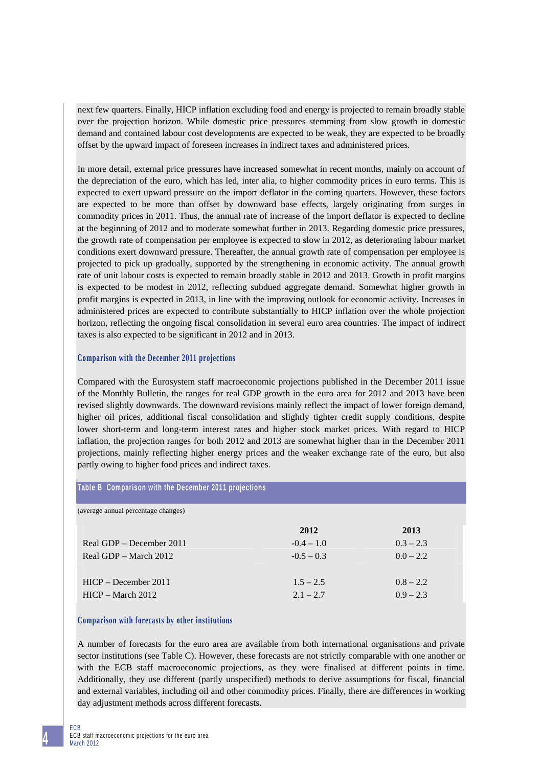next few quarters. Finally, HICP inflation excluding food and energy is projected to remain broadly stable over the projection horizon. While domestic price pressures stemming from slow growth in domestic demand and contained labour cost developments are expected to be weak, they are expected to be broadly offset by the upward impact of foreseen increases in indirect taxes and administered prices.

In more detail, external price pressures have increased somewhat in recent months, mainly on account of the depreciation of the euro, which has led, inter alia, to higher commodity prices in euro terms. This is expected to exert upward pressure on the import deflator in the coming quarters. However, these factors are expected to be more than offset by downward base effects, largely originating from surges in commodity prices in 2011. Thus, the annual rate of increase of the import deflator is expected to decline at the beginning of 2012 and to moderate somewhat further in 2013. Regarding domestic price pressures, the growth rate of compensation per employee is expected to slow in 2012, as deteriorating labour market conditions exert downward pressure. Thereafter, the annual growth rate of compensation per employee is projected to pick up gradually, supported by the strengthening in economic activity. The annual growth rate of unit labour costs is expected to remain broadly stable in 2012 and 2013. Growth in profit margins is expected to be modest in 2012, reflecting subdued aggregate demand. Somewhat higher growth in profit margins is expected in 2013, in line with the improving outlook for economic activity. Increases in administered prices are expected to contribute substantially to HICP inflation over the whole projection horizon, reflecting the ongoing fiscal consolidation in several euro area countries. The impact of indirect taxes is also expected to be significant in 2012 and in 2013.

## **Comparison with the December 2011 projections**

Compared with the Eurosystem staff macroeconomic projections published in the December 2011 issue of the Monthly Bulletin, the ranges for real GDP growth in the euro area for 2012 and 2013 have been revised slightly downwards. The downward revisions mainly reflect the impact of lower foreign demand, higher oil prices, additional fiscal consolidation and slightly tighter credit supply conditions, despite lower short-term and long-term interest rates and higher stock market prices. With regard to HICP inflation, the projection ranges for both 2012 and 2013 are somewhat higher than in the December 2011 projections, mainly reflecting higher energy prices and the weaker exchange rate of the euro, but also partly owing to higher food prices and indirect taxes.

| Table B Comparison with the December 2011 projections |              |             |
|-------------------------------------------------------|--------------|-------------|
| (average annual percentage changes)                   |              |             |
|                                                       | 2012         | 2013        |
| Real GDP – December 2011                              | $-0.4 - 1.0$ | $0.3 - 2.3$ |
| Real GDP – March 2012                                 | $-0.5 - 0.3$ | $0.0 - 2.2$ |
|                                                       |              |             |
| $HICP - December 2011$                                | $1.5 - 2.5$  | $0.8 - 2.2$ |
| $HICP - March 2012$                                   | $2.1 - 2.7$  | $0.9 - 2.3$ |

## **Comparison with forecasts by other institutions**

A number of forecasts for the euro area are available from both international organisations and private sector institutions (see Table C). However, these forecasts are not strictly comparable with one another or with the ECB staff macroeconomic projections, as they were finalised at different points in time. Additionally, they use different (partly unspecified) methods to derive assumptions for fiscal, financial and external variables, including oil and other commodity prices. Finally, there are differences in working day adjustment methods across different forecasts.

**4**